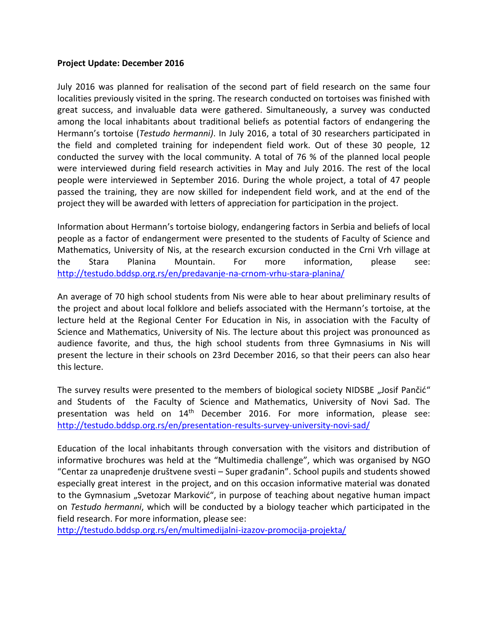## **Project Update: December 2016**

July 2016 was planned for realisation of the second part of field research on the same four localities previously visited in the spring. The research conducted on tortoises was finished with great success, and invaluable data were gathered. Simultaneously, a survey was conducted among the local inhabitants about traditional beliefs as potential factors of endangering the Hermann's tortoise (*Testudo hermanni)*. In July 2016, a total of 30 researchers participated in the field and completed training for independent field work. Out of these 30 people, 12 conducted the survey with the local community. A total of 76 % of the planned local people were interviewed during field research activities in May and July 2016. The rest of the local people were interviewed in September 2016. During the whole project, a total of 47 people passed the training, they are now skilled for independent field work, and at the end of the project they will be awarded with letters of appreciation for participation in the project.

Information about Hermann's tortoise biology, endangering factors in Serbia and beliefs of local people as a factor of endangerment were presented to the students of Faculty of Science and Mathematics, University of Nis, at the research excursion conducted in the Crni Vrh village at the Stara Planina Mountain. For more information, please see: <http://testudo.bddsp.org.rs/en/predavanje-na-crnom-vrhu-stara-planina/>

An average of 70 high school students from Nis were able to hear about preliminary results of the project and about local folklore and beliefs associated with the Hermann's tortoise, at the lecture held at the Regional Center For Education in Nis, in association with the Faculty of Science and Mathematics, University of Nis. The lecture about this project was pronounced as audience favorite, and thus, the high school students from three Gymnasiums in Nis will present the lecture in their schools on 23rd December 2016, so that their peers can also hear this lecture.

The survey results were presented to the members of biological society NIDSBE "Josif Pančić" and Students of the Faculty of Science and Mathematics, University of Novi Sad. The presentation was held on 14th December 2016. For more information, please see: <http://testudo.bddsp.org.rs/en/presentation-results-survey-university-novi-sad/>

Education of the local inhabitants through conversation with the visitors and distribution of informative brochures was held at the "Multimedia challenge", which was organised by NGO "Centar za unapređenje društvene svesti – Super građanin". School pupils and students showed especially great interest in the project, and on this occasion informative material was donated to the Gymnasium "Svetozar Marković", in purpose of teaching about negative human impact on *Testudo hermanni*, which will be conducted by a biology teacher which participated in the field research. For more information, please see:

<http://testudo.bddsp.org.rs/en/multimedijalni-izazov-promocija-projekta/>